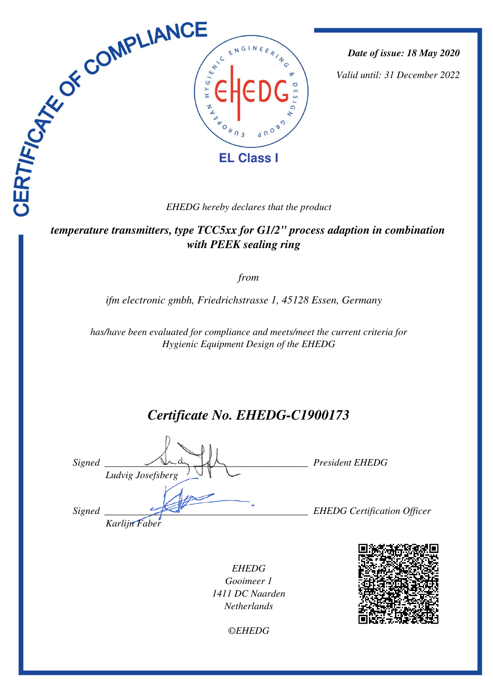

*Date of issue: 18 May 2020*

*Valid until: 31 December 2022*

 *temperature transmitters, type TCC5xx for G1/2" process adaption in combination with PEEK sealing ring* 

*from*

*ifm electronic gmbh, Friedrichstrasse 1, 45128 Essen, Germany* 

*has/have been evaluated for compliance and meets/meet the current criteria for Hygienic Equipment Design of the EHEDG*

# *Certificate No. EHEDG-C1900173*

*Signed \_\_\_\_\_\_\_\_\_\_\_\_\_\_\_\_\_\_\_\_\_\_\_\_\_\_\_\_\_\_\_\_\_\_\_\_\_\_\_\_\_ President EHEDG Ludvig Josefsberg Signed \_\_\_\_\_\_\_\_\_\_\_\_\_\_\_\_\_\_\_\_\_\_\_\_\_\_\_\_\_\_\_\_\_\_\_\_\_\_\_\_\_ EHEDG Certification Officer Karlijn Faber*

*EHEDG Gooimeer 1 1411 DC Naarden Netherlands*



*©EHEDG*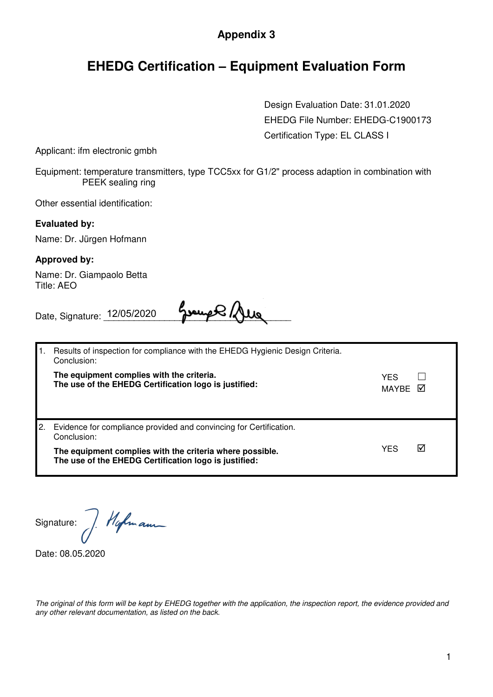### **Appendix 3**

## **EHEDG Certification – Equipment Evaluation Form**

Design Evaluation Date: 31.01.2020 EHEDG File Number: EHEDG-C1900173 Certification Type: EL CLASS I

Applicant: ifm electronic gmbh

Equipment: temperature transmitters, type TCC5xx for G1/2" process adaption in combination with PEEK sealing ring

Other essential identification:

#### **Evaluated by:**

Name: Dr. Jürgen Hofmann

#### **Approved by:**

Name: Dr. Giampaolo Betta Title: AEO

Date, Signature: \_\_\_\_\_\_\_\_\_\_\_\_\_\_\_\_\_\_\_\_\_\_\_\_\_\_\_\_\_\_\_\_\_\_\_\_\_ 12/05/2020

|  | Results of inspection for compliance with the EHEDG Hygienic Design Criteria.<br>Conclusion:                      |                |   |
|--|-------------------------------------------------------------------------------------------------------------------|----------------|---|
|  | The equipment complies with the criteria.<br>The use of the EHEDG Certification logo is justified:                | YES<br>MAYRE M |   |
|  | Evidence for compliance provided and convincing for Certification.<br>Conclusion:                                 |                |   |
|  | The equipment complies with the criteria where possible.<br>The use of the EHEDG Certification logo is justified: | YES            | ☑ |

Hofmann Signature:

Date: 08.05.2020

The original of this form will be kept by EHEDG together with the application, the inspection report, the evidence provided and any other relevant documentation, as listed on the back.